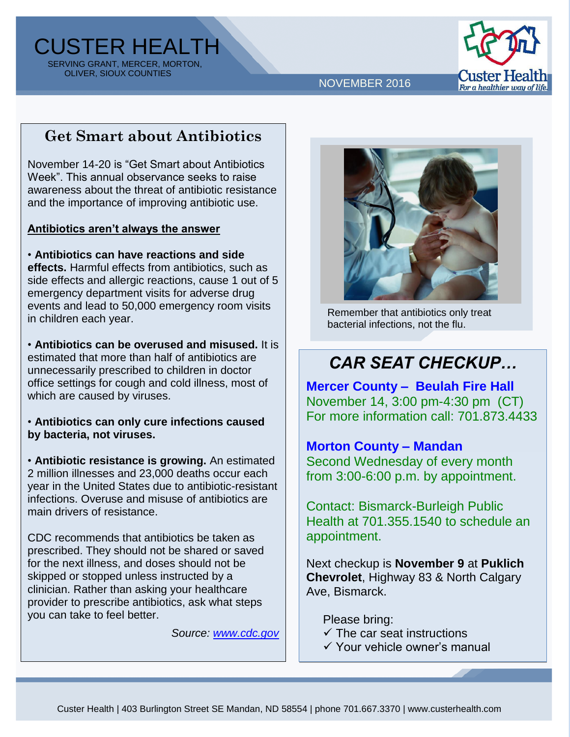CUSTER HEALTH SERVING GRANT, MERCER, MORTON, OLIVER, SIOUX COUNTIES



NOVEMBER 2016

### **Get Smart about Antibiotics**

November 14-20 is "Get Smart about Antibiotics Week". This annual observance seeks to raise awareness about the threat of antibiotic resistance and the importance of improving antibiotic use.

#### **Antibiotics aren't always the answer**

• **Antibiotics can have reactions and side effects.** Harmful effects from antibiotics, such as side effects and allergic reactions, cause 1 out of 5 emergency department visits for adverse drug events and lead to 50,000 emergency room visits in children each year.

• **Antibiotics can be overused and misused.** It is estimated that more than half of antibiotics are unnecessarily prescribed to children in doctor office settings for cough and cold illness, most of which are caused by viruses.

• **Antibiotics can only cure infections caused by bacteria, not viruses.**

• **Antibiotic resistance is growing.** An estimated 2 million illnesses and 23,000 deaths occur each year in the United States due to antibiotic-resistant infections. Overuse and misuse of antibiotics are main drivers of resistance.

CDC recommends that antibiotics be taken as prescribed. They should not be shared or saved for the next illness, and doses should not be skipped or stopped unless instructed by a clinician. Rather than asking your healthcare provider to prescribe antibiotics, ask what steps you can take to feel better.

*Source: [www.cdc.gov](http://www.cdc.gov/)*



Remember that antibiotics only treat bacterial infections, not the flu.

# *CAR SEAT CHECKUP…*

**Mercer County – Beulah Fire Hall** November 14, 3:00 pm-4:30 pm (CT) For more information call: 701.873.4433

#### **Morton County – Mandan**

Second Wednesday of every month from 3:00-6:00 p.m. by appointment.

Contact: Bismarck-Burleigh Public Health at 701.355.1540 to schedule an appointment.

Next checkup is **November 9** at **Puklich Chevrolet**, Highway 83 & North Calgary Ave, Bismarck.

Please bring:

- $\checkmark$  The car seat instructions
- Your vehicle owner's manual